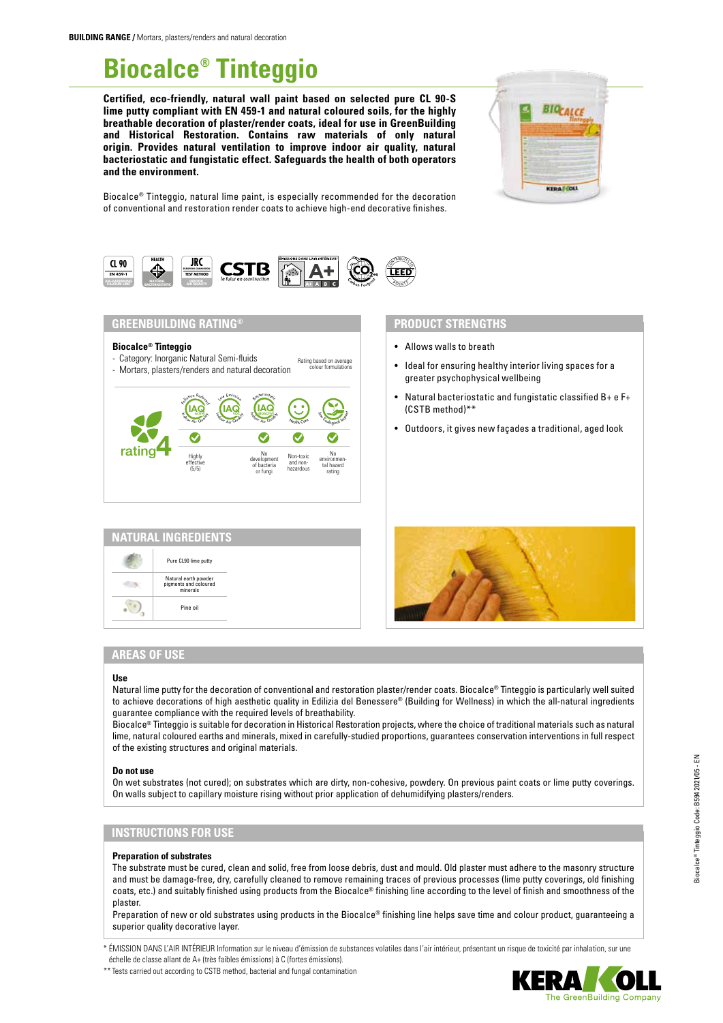# **Biocalce® Tinteggio**

**Certified, eco-friendly, natural wall paint based on selected pure CL 90-S lime putty compliant with EN 459-1 and natural coloured soils, for the highly breathable decoration of plaster/render coats, ideal for use in GreenBuilding and Historical Restoration. Contains raw materials of only natural origin. Provides natural ventilation to improve indoor air quality, natural bacteriostatic and fungistatic effect. Safeguards the health of both operators and the environment.**



Biocalce® Tinteggio, natural lime paint, is especially recommended for the decoration of conventional and restoration render coats to achieve high-end decorative finishes.



## **GREENBUILDING RATING®**

#### **Biocalce® Tinteggio**

- Category: Inorganic Natural Semi-fluids Rating based on average
- Mortars, plasters/renders and natural decoration colour formulations



| <b>NATURAL INGREDIENTS</b>                                |  |
|-----------------------------------------------------------|--|
| Pure CL90 lime putty                                      |  |
| Natural earth powder<br>pigments and coloured<br>minerals |  |
|                                                           |  |
|                                                           |  |

## **PRODUCT STRENGTHS**

- Allows walls to breath
- Ideal for ensuring healthy interior living spaces for a greater psychophysical wellbeing
- Natural bacteriostatic and fungistatic classified B+ e F+ (CSTB method)\*\*
- Outdoors, it gives new façades a traditional, aged look



## **AREAS OF USE**

#### **Use**

Natural lime putty for the decoration of conventional and restoration plaster/render coats. Biocalce® Tinteggio is particularly well suited to achieve decorations of high aesthetic quality in Edilizia del Benessere® (Building for Wellness) in which the all-natural ingredients guarantee compliance with the required levels of breathability.

Biocalce® Tinteggio is suitable for decoration in Historical Restoration projects, where the choice of traditional materials such as natural lime, natural coloured earths and minerals, mixed in carefully-studied proportions, guarantees conservation interventions in full respect of the existing structures and original materials.

#### **Do not use**

On wet substrates (not cured); on substrates which are dirty, non-cohesive, powdery. On previous paint coats or lime putty coverings. On walls subject to capillary moisture rising without prior application of dehumidifying plasters/renders.

## **INSTRUCTIONS FOR USE**

#### **Preparation of substrates**

The substrate must be cured, clean and solid, free from loose debris, dust and mould. Old plaster must adhere to the masonry structure and must be damage-free, dry, carefully cleaned to remove remaining traces of previous processes (lime putty coverings, old finishing coats, etc.) and suitably finished using products from the Biocalce® finishing line according to the level of finish and smoothness of the plaster.

Preparation of new or old substrates using products in the Biocalce® finishing line helps save time and colour product, guaranteeing a superior quality decorative layer.

\* ÉMISSION DANS L'AIR INTÉRIEUR Information sur le niveau d'émission de substances volatiles dans l'air intérieur, présentant un risque de toxicité par inhalation, sur une échelle de classe allant de A+ (très faibles émissions) à C (fortes émissions).

\*\* Tests carried out according to CSTB method, bacterial and fungal contamination

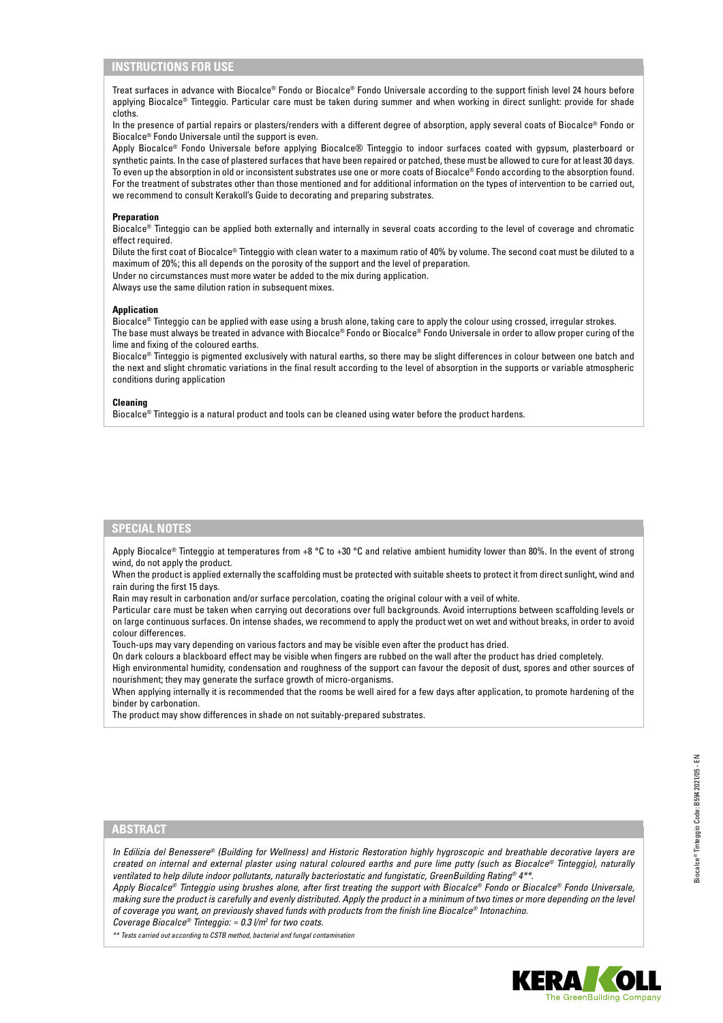## **INSTRUCTIONS FOR USE**

Treat surfaces in advance with Biocalce® Fondo or Biocalce® Fondo Universale according to the support finish level 24 hours before applying Biocalce® Tinteggio. Particular care must be taken during summer and when working in direct sunlight: provide for shade cloths.

In the presence of partial repairs or plasters/renders with a different degree of absorption, apply several coats of Biocalce® Fondo or Biocalce® Fondo Universale until the support is even.

Apply Biocalce® Fondo Universale before applying Biocalce® Tinteggio to indoor surfaces coated with gypsum, plasterboard or synthetic paints. In the case of plastered surfaces that have been repaired or patched, these must be allowed to cure for at least 30 days. To even up the absorption in old or inconsistent substrates use one or more coats of Biocalce® Fondo according to the absorption found. For the treatment of substrates other than those mentioned and for additional information on the types of intervention to be carried out, we recommend to consult Kerakoll's Guide to decorating and preparing substrates.

#### **Preparation**

Biocalce® Tinteggio can be applied both externally and internally in several coats according to the level of coverage and chromatic effect required.

Dilute the first coat of Biocalce® Tinteggio with clean water to a maximum ratio of 40% by volume. The second coat must be diluted to a maximum of 20%; this all depends on the porosity of the support and the level of preparation.

Under no circumstances must more water be added to the mix during application. Always use the same dilution ration in subsequent mixes.

#### **Application**

Biocalce® Tinteggio can be applied with ease using a brush alone, taking care to apply the colour using crossed, irregular strokes. The base must always be treated in advance with Biocalce® Fondo or Biocalce® Fondo Universale in order to allow proper curing of the lime and fixing of the coloured earths.

Biocalce® Tinteggio is pigmented exclusively with natural earths, so there may be slight differences in colour between one batch and the next and slight chromatic variations in the final result according to the level of absorption in the supports or variable atmospheric conditions during application

#### **Cleaning**

Biocalce® Tinteggio is a natural product and tools can be cleaned using water before the product hardens.

## **SPECIAL NOTES**

Apply Biocalce® Tinteggio at temperatures from +8 °C to +30 °C and relative ambient humidity lower than 80%. In the event of strong wind, do not apply the product.

When the product is applied externally the scaffolding must be protected with suitable sheets to protect it from direct sunlight, wind and rain during the first 15 days.

Rain may result in carbonation and/or surface percolation, coating the original colour with a veil of white.

Particular care must be taken when carrying out decorations over full backgrounds. Avoid interruptions between scaffolding levels or on large continuous surfaces. On intense shades, we recommend to apply the product wet on wet and without breaks, in order to avoid colour differences.

Touch-ups may vary depending on various factors and may be visible even after the product has dried.

On dark colours a blackboard effect may be visible when fingers are rubbed on the wall after the product has dried completely.

High environmental humidity, condensation and roughness of the support can favour the deposit of dust, spores and other sources of nourishment; they may generate the surface growth of micro-organisms.

When applying internally it is recommended that the rooms be well aired for a few days after application, to promote hardening of the binder by carbonation.

The product may show differences in shade on not suitably-prepared substrates.

## **ABSTRACT**

*In Edilizia del Benessere® (Building for Wellness) and Historic Restoration highly hygroscopic and breathable decorative layers are created on internal and external plaster using natural coloured earths and pure lime putty (such as Biocalce® Tinteggio), naturally ventilated to help dilute indoor pollutants, naturally bacteriostatic and fungistatic, GreenBuilding Rating® 4\*\*.*

*Apply Biocalce® Tinteggio using brushes alone, after first treating the support with Biocalce® Fondo or Biocalce® Fondo Universale, making sure the product is carefully and evenly distributed. Apply the product in a minimum of two times or more depending on the level of coverage you want, on previously shaved funds with products from the finish line Biocalce® Intonachino. Coverage Biocalce® Tinteggio: ≈ 0.3 l/m2 for two coats.*

*\*\* Tests carried out according to CSTB method, bacterial and fungal contamination*